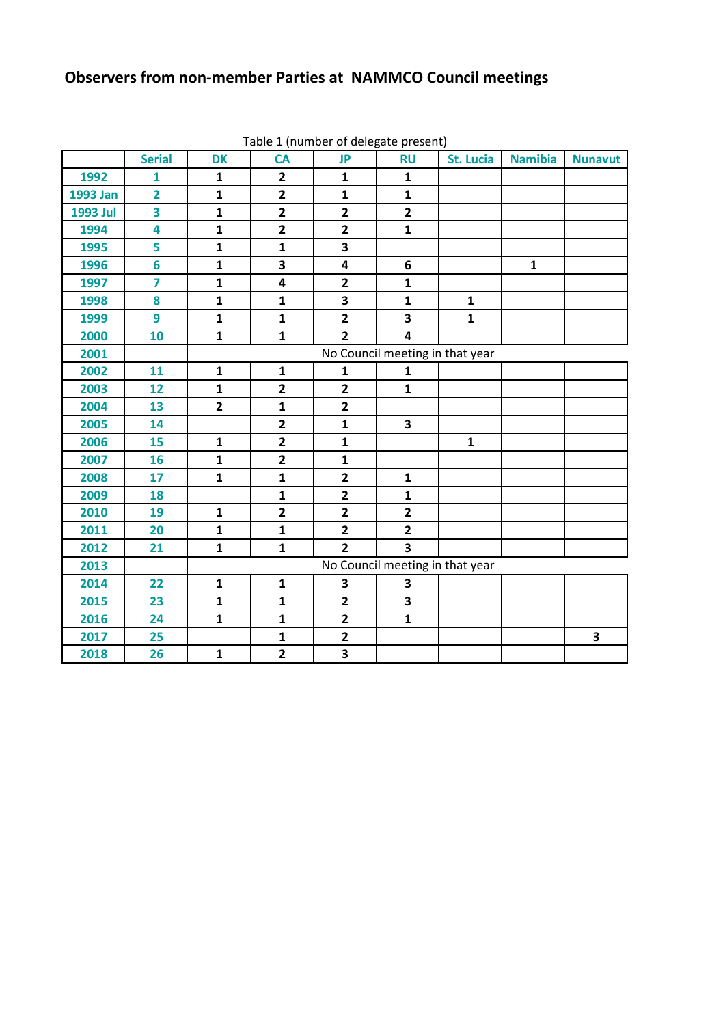## **Observers from non-member Parties at NAMMCO Council meetings**

|          | <b>Serial</b>           | <b>DK</b>                       | <b>CA</b>      | rable + (number or acregate present)<br><b>JP</b> | <b>RU</b>               | <b>St. Lucia</b>                | <b>Namibia</b> | <b>Nunavut</b> |  |  |  |  |  |  |  |  |
|----------|-------------------------|---------------------------------|----------------|---------------------------------------------------|-------------------------|---------------------------------|----------------|----------------|--|--|--|--|--|--|--|--|
| 1992     | $\mathbf{1}$            | $\mathbf{1}$                    | $\overline{2}$ | $\mathbf{1}$                                      | $\mathbf{1}$            |                                 |                |                |  |  |  |  |  |  |  |  |
| 1993 Jan | $\overline{2}$          | $\mathbf{1}$                    | $\overline{2}$ | $\mathbf{1}$                                      | $\mathbf{1}$            |                                 |                |                |  |  |  |  |  |  |  |  |
| 1993 Jul | $\overline{\mathbf{3}}$ | $\mathbf{1}$                    | $\overline{2}$ | $\mathbf{2}$                                      | $\overline{\mathbf{2}}$ |                                 |                |                |  |  |  |  |  |  |  |  |
| 1994     | 4                       | $\mathbf{1}$                    | $\overline{2}$ | $\mathbf{2}$                                      | $\mathbf{1}$            |                                 |                |                |  |  |  |  |  |  |  |  |
| 1995     | 5                       | $\mathbf{1}$                    | $\mathbf{1}$   | 3                                                 |                         |                                 |                |                |  |  |  |  |  |  |  |  |
| 1996     | $6\phantom{a}$          | $\mathbf{1}$                    | 3              | $\overline{\mathbf{4}}$                           | 6                       |                                 | $\mathbf{1}$   |                |  |  |  |  |  |  |  |  |
| 1997     | $\overline{\mathbf{z}}$ | $\mathbf{1}$                    | 4              | $\overline{2}$                                    | $\mathbf{1}$            |                                 |                |                |  |  |  |  |  |  |  |  |
| 1998     | 8                       | $\mathbf{1}$                    | $\mathbf{1}$   | 3                                                 | $\mathbf{1}$            | $\mathbf{1}$                    |                |                |  |  |  |  |  |  |  |  |
| 1999     | 9                       | $\mathbf{1}$                    | $\mathbf{1}$   | $\overline{2}$                                    | 3                       | $\mathbf{1}$                    |                |                |  |  |  |  |  |  |  |  |
| 2000     | 10                      | $\mathbf{1}$                    | $\mathbf{1}$   | $\overline{2}$                                    | $\overline{\mathbf{4}}$ |                                 |                |                |  |  |  |  |  |  |  |  |
| 2001     |                         | No Council meeting in that year |                |                                                   |                         |                                 |                |                |  |  |  |  |  |  |  |  |
| 2002     | 11                      | $\mathbf{1}$                    | $\mathbf{1}$   | $\mathbf{1}$                                      | $\mathbf{1}$            |                                 |                |                |  |  |  |  |  |  |  |  |
| 2003     | 12                      | $\mathbf{1}$                    | $\overline{2}$ | $\overline{2}$                                    | $\mathbf{1}$            |                                 |                |                |  |  |  |  |  |  |  |  |
| 2004     | 13                      | $\overline{2}$                  | $\mathbf{1}$   | $\overline{2}$                                    |                         |                                 |                |                |  |  |  |  |  |  |  |  |
| 2005     | 14                      |                                 | $\overline{2}$ | $\mathbf{1}$                                      | $\mathbf{3}$            |                                 |                |                |  |  |  |  |  |  |  |  |
| 2006     | 15                      | $\mathbf{1}$                    | $\overline{2}$ | $\mathbf{1}$                                      |                         | $\mathbf{1}$                    |                |                |  |  |  |  |  |  |  |  |
| 2007     | 16                      | $\mathbf{1}$                    | $\overline{2}$ | $\mathbf{1}$                                      |                         |                                 |                |                |  |  |  |  |  |  |  |  |
| 2008     | 17                      | $\mathbf{1}$                    | $\mathbf{1}$   | $\overline{\mathbf{2}}$                           | $\mathbf{1}$            |                                 |                |                |  |  |  |  |  |  |  |  |
| 2009     | 18                      |                                 | $\mathbf{1}$   | $\overline{2}$                                    | $\mathbf{1}$            |                                 |                |                |  |  |  |  |  |  |  |  |
| 2010     | 19                      | $\mathbf{1}$                    | $\overline{2}$ | $\overline{2}$                                    | $\overline{2}$          |                                 |                |                |  |  |  |  |  |  |  |  |
| 2011     | 20                      | $\mathbf{1}$                    | $\mathbf{1}$   | $\overline{2}$                                    | $\overline{2}$          |                                 |                |                |  |  |  |  |  |  |  |  |
| 2012     | 21                      | $\mathbf{1}$                    | $\mathbf{1}$   | $\overline{2}$                                    | $\overline{\mathbf{3}}$ |                                 |                |                |  |  |  |  |  |  |  |  |
| 2013     |                         |                                 |                |                                                   |                         | No Council meeting in that year |                |                |  |  |  |  |  |  |  |  |
| 2014     | 22                      | $\mathbf{1}$                    | $\mathbf{1}$   | 3                                                 | 3                       |                                 |                |                |  |  |  |  |  |  |  |  |
| 2015     | 23                      | $\mathbf{1}$                    | $\mathbf{1}$   | $\overline{2}$                                    | $\overline{\mathbf{3}}$ |                                 |                |                |  |  |  |  |  |  |  |  |
| 2016     | 24                      | $\mathbf{1}$                    | $\mathbf{1}$   | $\overline{\mathbf{2}}$                           | $\mathbf{1}$            |                                 |                |                |  |  |  |  |  |  |  |  |
| 2017     | 25                      |                                 | $\mathbf{1}$   | $\overline{\mathbf{2}}$                           |                         |                                 |                | 3              |  |  |  |  |  |  |  |  |
| 2018     | 26                      | $\mathbf{1}$                    | $\overline{2}$ | $\overline{\mathbf{3}}$                           |                         |                                 |                |                |  |  |  |  |  |  |  |  |

Table 1 (number of delegate present)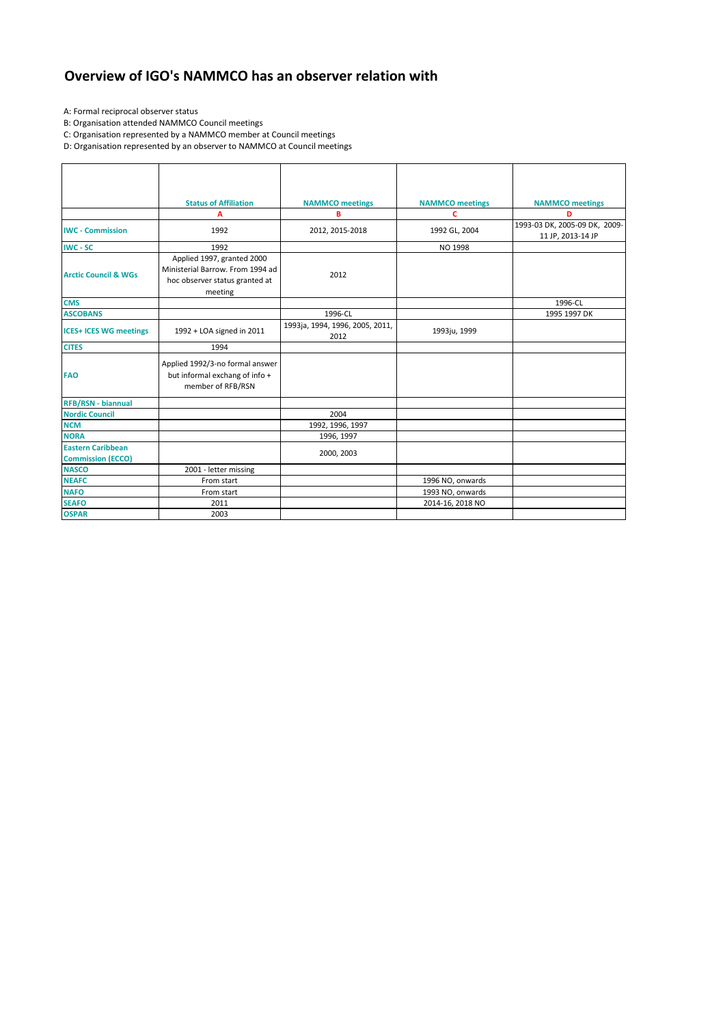## **Overview of IGO's NAMMCO has an observer relation with**

A: Formal reciprocal observer status

B: Organisation attended NAMMCO Council meetings

C: Organisation represented by a NAMMCO member at Council meetings

D: Organisation represented by an observer to NAMMCO at Council meetings

|                                                      | <b>Status of Affiliation</b>                                                                                |                                         |                             |                                                    |  |  |
|------------------------------------------------------|-------------------------------------------------------------------------------------------------------------|-----------------------------------------|-----------------------------|----------------------------------------------------|--|--|
|                                                      | A                                                                                                           | <b>NAMMCO</b> meetings<br>B             | <b>NAMMCO</b> meetings<br>c | <b>NAMMCO</b> meetings<br>D                        |  |  |
| <b>IWC - Commission</b>                              | 1992                                                                                                        | 2012, 2015-2018                         | 1992 GL, 2004               | 1993-03 DK, 2005-09 DK, 2009-<br>11 JP, 2013-14 JP |  |  |
| <b>IWC - SC</b>                                      | 1992                                                                                                        |                                         | <b>NO 1998</b>              |                                                    |  |  |
| <b>Arctic Council &amp; WGs</b>                      | Applied 1997, granted 2000<br>Ministerial Barrow. From 1994 ad<br>hoc observer status granted at<br>meeting | 2012                                    |                             |                                                    |  |  |
| <b>CMS</b>                                           |                                                                                                             |                                         |                             | 1996-CL                                            |  |  |
| <b>ASCOBANS</b>                                      |                                                                                                             | 1996-CL                                 |                             | 1995 1997 DK                                       |  |  |
| <b>ICES+ ICES WG meetings</b>                        | 1992 + LOA signed in 2011                                                                                   | 1993ja, 1994, 1996, 2005, 2011,<br>2012 | 1993ju, 1999                |                                                    |  |  |
| <b>CITES</b>                                         | 1994                                                                                                        |                                         |                             |                                                    |  |  |
| <b>FAO</b>                                           | Applied 1992/3-no formal answer<br>but informal exchang of info +<br>member of RFB/RSN                      |                                         |                             |                                                    |  |  |
| <b>RFB/RSN - biannual</b>                            |                                                                                                             |                                         |                             |                                                    |  |  |
| <b>Nordic Council</b>                                |                                                                                                             | 2004                                    |                             |                                                    |  |  |
| <b>NCM</b>                                           |                                                                                                             | 1992, 1996, 1997                        |                             |                                                    |  |  |
| <b>NORA</b>                                          |                                                                                                             | 1996, 1997                              |                             |                                                    |  |  |
| <b>Eastern Caribbean</b><br><b>Commission (ECCO)</b> |                                                                                                             | 2000, 2003                              |                             |                                                    |  |  |
| <b>NASCO</b>                                         | 2001 - letter missing                                                                                       |                                         |                             |                                                    |  |  |
| <b>NEAFC</b>                                         | From start                                                                                                  |                                         | 1996 NO, onwards            |                                                    |  |  |
| <b>NAFO</b>                                          | From start                                                                                                  |                                         | 1993 NO, onwards            |                                                    |  |  |
| <b>SEAFO</b>                                         | 2011                                                                                                        |                                         | 2014-16, 2018 NO            |                                                    |  |  |
| <b>OSPAR</b>                                         | 2003                                                                                                        |                                         |                             |                                                    |  |  |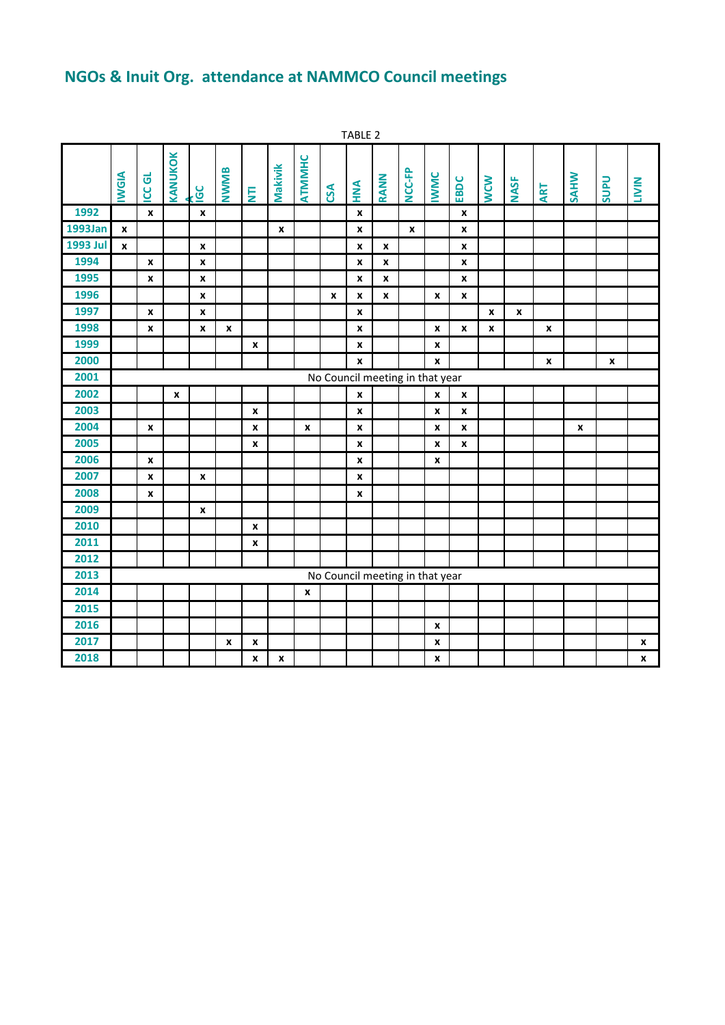## **NGOs & Inuit Org. attendance at NAMMCO Council meetings**

|                 | TABLE 2      |                             |              |                           |      |                    |                |                    |                                 |                    |                    |        |                |      |              |                  |              |             |             |                    |
|-----------------|--------------|-----------------------------|--------------|---------------------------|------|--------------------|----------------|--------------------|---------------------------------|--------------------|--------------------|--------|----------------|------|--------------|------------------|--------------|-------------|-------------|--------------------|
|                 | <b>IWGIA</b> | $\vec{\sigma}$<br>$\bar{g}$ | KANUKOK      | $rac{1}{2}$               | NWMB | Ē                  | Makivik        | ATMMHC             | CSA                             | <b>MNA</b>         | RANN               | NCC-FP | <b>IWWC</b>    | EBDC | <b>WCW</b>   | <b>NASF</b>      | <b>ART</b>   | <b>SAHW</b> | <b>Uans</b> | <b>LIVIN</b>       |
| 1992            |              | $\pmb{\mathsf{x}}$          |              | $\mathbf{x}$              |      |                    |                |                    |                                 | X                  |                    |        |                | X    |              |                  |              |             |             |                    |
| 1993Jan         | $\pmb{\chi}$ |                             |              |                           |      |                    | $\pmb{\times}$ |                    |                                 | x                  |                    | X      |                | X    |              |                  |              |             |             |                    |
| <b>1993 Jul</b> | $\mathbf{x}$ |                             |              | $\pmb{\chi}$              |      |                    |                |                    |                                 | $\pmb{\mathsf{x}}$ | $\pmb{\mathsf{x}}$ |        |                | X    |              |                  |              |             |             |                    |
| 1994            |              | $\pmb{\chi}$                |              | $\boldsymbol{x}$          |      |                    |                |                    |                                 | x                  | X                  |        |                | X    |              |                  |              |             |             |                    |
| 1995            |              | X                           |              | X                         |      |                    |                |                    |                                 | X                  | X                  |        |                | X    |              |                  |              |             |             |                    |
| 1996            |              |                             |              | $\pmb{\chi}$              |      |                    |                |                    | X                               | X                  | X                  |        | X              | X    |              |                  |              |             |             |                    |
| 1997            |              | X                           |              | $\mathbf{x}$              |      |                    |                |                    |                                 | x                  |                    |        |                |      | $\pmb{\chi}$ | $\boldsymbol{x}$ |              |             |             |                    |
| 1998            |              | X                           |              | X                         | X    |                    |                |                    |                                 | x                  |                    |        | X              | X    | X            |                  | X            |             |             |                    |
| 1999            |              |                             |              |                           |      | X                  |                |                    |                                 | X                  |                    |        | x              |      |              |                  |              |             |             |                    |
| 2000            |              |                             |              |                           |      |                    |                |                    |                                 | x                  |                    |        | $\mathbf{x}$   |      |              |                  | $\pmb{\chi}$ |             | X           |                    |
| 2001            |              |                             |              |                           |      |                    |                |                    | No Council meeting in that year |                    |                    |        |                |      |              |                  |              |             |             |                    |
| 2002            |              |                             | $\pmb{\chi}$ |                           |      |                    |                |                    |                                 | X                  |                    |        | X              | X    |              |                  |              |             |             |                    |
| 2003            |              |                             |              |                           |      | $\pmb{\mathsf{x}}$ |                |                    |                                 | X                  |                    |        | X              | X    |              |                  |              |             |             |                    |
| 2004            |              | $\pmb{\chi}$                |              |                           |      | X                  |                | $\pmb{\mathsf{x}}$ |                                 | X                  |                    |        | X              | X    |              |                  |              | X           |             |                    |
| 2005            |              |                             |              |                           |      | x                  |                |                    |                                 | x                  |                    |        | x              | x    |              |                  |              |             |             |                    |
| 2006            |              | $\pmb{\chi}$                |              |                           |      |                    |                |                    |                                 | X                  |                    |        | X              |      |              |                  |              |             |             |                    |
| 2007            |              | $\pmb{\chi}$                |              | $\boldsymbol{\mathsf{x}}$ |      |                    |                |                    |                                 | $\pmb{\mathsf{x}}$ |                    |        |                |      |              |                  |              |             |             |                    |
| 2008            |              | X                           |              |                           |      |                    |                |                    |                                 | X                  |                    |        |                |      |              |                  |              |             |             |                    |
| 2009            |              |                             |              | X                         |      |                    |                |                    |                                 |                    |                    |        |                |      |              |                  |              |             |             |                    |
| 2010            |              |                             |              |                           |      | X                  |                |                    |                                 |                    |                    |        |                |      |              |                  |              |             |             |                    |
| 2011            |              |                             |              |                           |      | x                  |                |                    |                                 |                    |                    |        |                |      |              |                  |              |             |             |                    |
| 2012            |              |                             |              |                           |      |                    |                |                    |                                 |                    |                    |        |                |      |              |                  |              |             |             |                    |
| 2013            |              |                             |              |                           |      |                    |                |                    | No Council meeting in that year |                    |                    |        |                |      |              |                  |              |             |             |                    |
| 2014            |              |                             |              |                           |      |                    |                | X                  |                                 |                    |                    |        |                |      |              |                  |              |             |             |                    |
| 2015            |              |                             |              |                           |      |                    |                |                    |                                 |                    |                    |        |                |      |              |                  |              |             |             |                    |
| 2016            |              |                             |              |                           |      |                    |                |                    |                                 |                    |                    |        | X              |      |              |                  |              |             |             |                    |
| 2017            |              |                             |              |                           | X    | X                  |                |                    |                                 |                    |                    |        | X              |      |              |                  |              |             |             | X                  |
| 2018            |              |                             |              |                           |      | x                  | $\pmb{\times}$ |                    |                                 |                    |                    |        | $\pmb{\times}$ |      |              |                  |              |             |             | $\pmb{\mathsf{x}}$ |